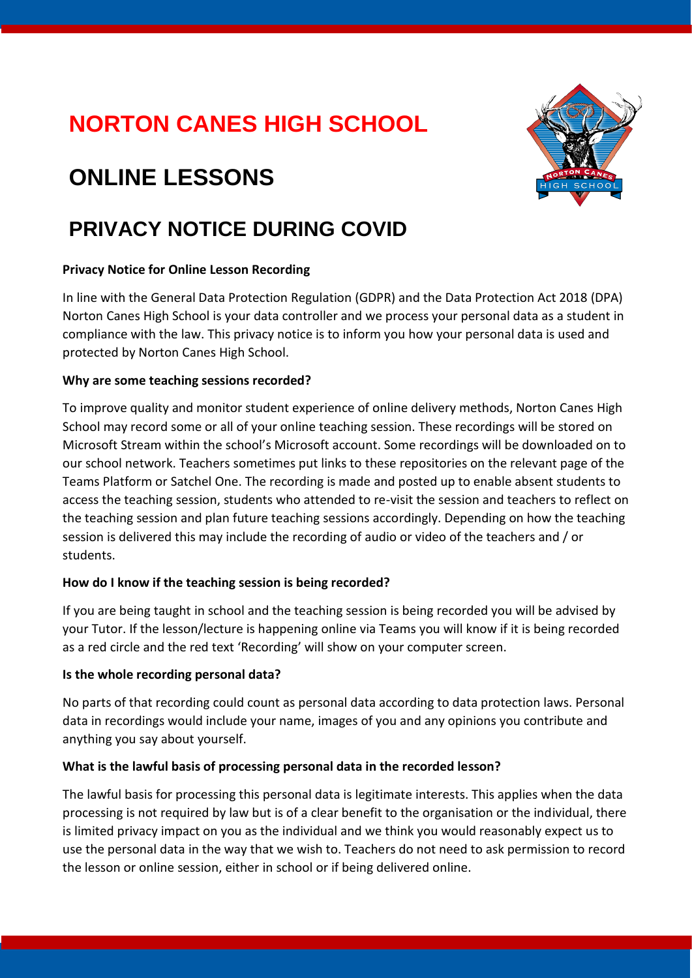## **NORTON CANES HIGH SCHOOL**

# **ONLINE LESSONS**

### **PRIVACY NOTICE DURING COVID**

#### **Privacy Notice for Online Lesson Recording**

In line with the General Data Protection Regulation (GDPR) and the Data Protection Act 2018 (DPA) Norton Canes High School is your data controller and we process your personal data as a student in compliance with the law. This privacy notice is to inform you how your personal data is used and protected by Norton Canes High School.

#### **Why are some teaching sessions recorded?**

To improve quality and monitor student experience of online delivery methods, Norton Canes High School may record some or all of your online teaching session. These recordings will be stored on Microsoft Stream within the school's Microsoft account. Some recordings will be downloaded on to our school network. Teachers sometimes put links to these repositories on the relevant page of the Teams Platform or Satchel One. The recording is made and posted up to enable absent students to access the teaching session, students who attended to re-visit the session and teachers to reflect on the teaching session and plan future teaching sessions accordingly. Depending on how the teaching session is delivered this may include the recording of audio or video of the teachers and / or students.

#### **How do I know if the teaching session is being recorded?**

If you are being taught in school and the teaching session is being recorded you will be advised by your Tutor. If the lesson/lecture is happening online via Teams you will know if it is being recorded as a red circle and the red text 'Recording' will show on your computer screen.

#### **Is the whole recording personal data?**

No parts of that recording could count as personal data according to data protection laws. Personal data in recordings would include your name, images of you and any opinions you contribute and anything you say about yourself.

#### **What is the lawful basis of processing personal data in the recorded lesson?**

The lawful basis for processing this personal data is legitimate interests. This applies when the data processing is not required by law but is of a clear benefit to the organisation or the individual, there is limited privacy impact on you as the individual and we think you would reasonably expect us to use the personal data in the way that we wish to. Teachers do not need to ask permission to record the lesson or online session, either in school or if being delivered online.